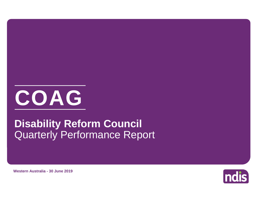

# Quarterly Performance Report **Disability Reform Council**



**Western Australia - 30 June 2019**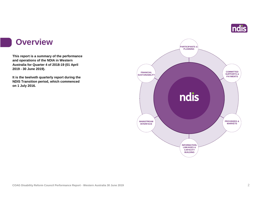

#### **Overview**

**This report is a summary of the performance and operations of the NDIA in Western Australia for Quarter 4 of 2018-19 (01 April 2019 - 30 June 2019).**

**It is the twelveth quarterly report during the NDIS Transition period, which commenced on 1 July 2016.** 

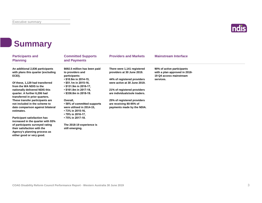

### **Summary**

| <b>Participants and</b><br><b>Planning</b>                                                                                  | <b>Committed Supports</b><br>and Payments                                                                      | <b>Providers and Markets</b>                                                         | <b>Mainstream Interface</b>                                                            |
|-----------------------------------------------------------------------------------------------------------------------------|----------------------------------------------------------------------------------------------------------------|--------------------------------------------------------------------------------------|----------------------------------------------------------------------------------------|
| An additional 2,836 participants<br>with plans this quarter (excluding<br>ECEI).                                            | \$692.5 million has been paid<br>to providers and<br>participants:                                             | There were 1,141 registered<br>providers at 30 June 2019.                            | 90% of active participants<br>with a plan approved in 2018-<br>19 Q4 access mainstream |
| Of these, 1,129 had transferred<br>from the WA NDIS to the                                                                  | • \$10.9m in 2014-15,<br>$\cdot$ \$51.1m in 2015-16,<br>$\cdot$ \$131.9m in 2016-17,                           | 44% of registered providers<br>were active at 30 June 2019.                          | services.                                                                              |
| nationally delivered NDIS this<br>quarter. A further 6,206 had<br>transferred in prior quarters.                            | $\cdot$ \$161.8m in 2017-18,<br>• \$336.8m in 2018-19.                                                         | 21% of registered providers<br>are individuals/sole traders.                         |                                                                                        |
| These transfer participants are<br>not included in the scheme to<br>date comparison against bilateral<br>estimates.         | Overall.<br>• 58% of committed supports<br>were utilised in 2014-15,<br>• 73% in 2015-16,<br>• 79% in 2016-17, | 25% of registered providers<br>are receiving 80-95% of<br>payments made by the NDIA. |                                                                                        |
| <b>Participant satisfaction has</b><br>increased in the quarter with 93%                                                    | • 75% in 2017-18.                                                                                              |                                                                                      |                                                                                        |
| of participants surveyed rating<br>their satisfaction with the<br>Agency's planning process as<br>either good or very good. | The 2018-19 experience is<br>still emerging.                                                                   |                                                                                      |                                                                                        |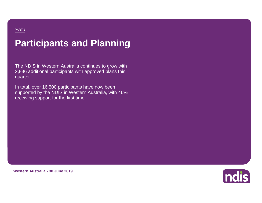## **Participants and Planning**

The NDIS in Western Australia continues to grow with 2,836 additional participants with approved plans this quarter.

In total, over 16,500 participants have now been supported by the NDIS in Western Australia, with 46% receiving support for the first time.



**Western Australia - 30 June 2019**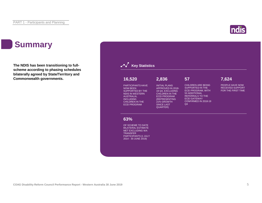#### ndis

### **Summary**

**The NDIS has been transitioning to fullscheme according to phasing schedules bilaterally agreed by State/Territory and Commonwealth governments.**

| 16,520                                                                                                                                                                       | 2,836                                                                                                                                                                          | 57                                                                                                                                                                                                    | 7,624                                                            |
|------------------------------------------------------------------------------------------------------------------------------------------------------------------------------|--------------------------------------------------------------------------------------------------------------------------------------------------------------------------------|-------------------------------------------------------------------------------------------------------------------------------------------------------------------------------------------------------|------------------------------------------------------------------|
| <b>PARTICIPANTS HAVE</b><br><b>NOW BEEN</b><br><b>SUPPORTED BY THE</b><br><b>NDIS IN WESTERN</b><br>AUSTRALIA,<br><b>INCLUDING</b><br>CHILDREN IN THE<br><b>ECEI PROGRAM</b> | <b>INITIAL PLANS</b><br>APPROVED IN 2018-<br>19 Q4, EXCLUDING<br><b>CHILDREN IN THE</b><br><b>ECEI PROGRAM</b><br>(REPRESENTING<br>21% GROWTH<br><b>SINCE LAST</b><br>QUARTER) | <b>CHILDREN ARE BEING</b><br><b>SUPPORTED IN THE</b><br><b>ECEI PROGRAM, WITH</b><br><b>53 ADDITIONAL</b><br><b>REFERRALS TO THE</b><br><b>ECEI GATEWAY</b><br>CONFIRMED IN 2018-19<br>Q <sub>4</sub> | PEOPLE HAVE NOW<br><b>RECEIVED SUPPORT</b><br>FOR THE FIRST TIME |
| 63%                                                                                                                                                                          |                                                                                                                                                                                |                                                                                                                                                                                                       |                                                                  |
| OF SCHEME TO DATE<br><b>BILATERAL ESTIMATE</b><br><b>MET EXCLUDING WA</b><br><b>TRANSFER</b><br>PARTICIPANTS (1 JULY                                                         |                                                                                                                                                                                |                                                                                                                                                                                                       |                                                                  |
| 2014 - 30 JUNE 2019)                                                                                                                                                         |                                                                                                                                                                                |                                                                                                                                                                                                       |                                                                  |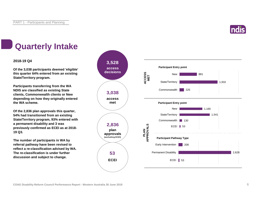

# **Quarterly Intake**

#### **2018-19 Q4**

**Of the 3,038 participants deemed 'eligible' this quarter 64% entered from an existing State/Territory program.**

**Participants transferring from the WA NDIS are classified as existing State clients, Commonwealth clients or New depending on how they originally entered the WA scheme.**

**Of the 2,836 plan approvals this quarter, 54% had transitioned from an existing State/Territory program, 93% entered with a permanent disability and 3 was previously confirmed as ECEI as at 2018- 19 Q3.**

**The number of participants in WA by referral pathway have been revised to reflect a re-classification advised by WA. The re-classification is under further discussion and subject to change.**

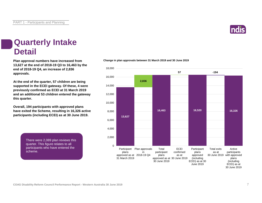

#### **Quarterly Intake Detail**

**13,627 at the end of 2018-19 Q3 to 16,463 by the end of 2018-19 Q4, an increase of 2,836 approvals.**

**At the end of the quarter, 57 children are being supported in the ECEI gateway. Of these, 4 were previously confirmed as ECEI at 31 March 2019 and an additional 53 children entered the gateway this quarter.**

**Overall, 194 participants with approved plans have exited the Scheme, resulting in 16,326 active participants (including ECEI) as at 30 June 2019.** 

> There were 2,089 plan reviews this quarter. This figure relates to all participants who have entered the scheme.

#### **Plan approval numbers have increased from Change in plan approvals between 31 March 2019 and 30 June 2019**



**COAG Disability Reform Council Performance Report - Western Australia 30 June 2019** 7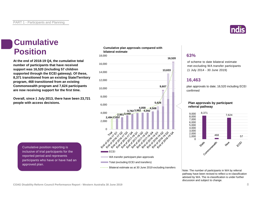

#### **Cumulative Position**

**At the end of 2018-19 Q4, the cumulative total number of participants that have received support was 16,520 (including 57 children supported through the ECEI gateway). Of these, 8,371 transitioned from an existing State/Territory program, 468 transitioned from an existing Commonwealth program and 7,624 participants are now receiving support for the first time.**

**Overall, since 1 July 2013, there have been 23,721 people with access decisions.**

#### **Cumulative plan approvals compared with bilateral estimate**



#### **63%**

of scheme to date bilateral estimate met excluding WA transfer participants (1 July 2014 - 30 June 2019)

#### **16,463**

plan approvals to date; 16,520 including ECEI confirmed

#### **Plan approvals by participant referral pathway**



Note: The number of participants in WA by referral pathway have been revised to reflect a re-classification advised by WA. The re-classification is under further discussion and subject to change.

Cumulative position reporting is inclusive of trial participants for the reported period and represents participants who have or have had an approved plan.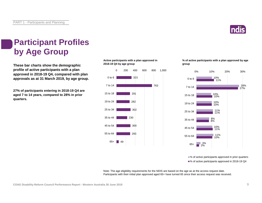

### **Participant Profiles by Age Group**

**These bar charts show the demographic profile of active participants with a plan approved in 2018-19 Q4, compared with plan approvals as at 31 March 2019, by age group.**

**27% of participants entering in 2018-19 Q4 are aged 7 to 14 years, compared to 28% in prior quarters.**

#### **Active participants with a plan approved in 2018-19 Q4 by age group**



**% of active participants with a plan approved by age group**



■ % of active participants approved in prior quarters ■% of active participants approved in 2018-19 Q4

Note: The age eligibility requirements for the NDIS are based on the age as at the access request date. Participants with their initial plan approved aged 65+ have turned 65 since their access request was received.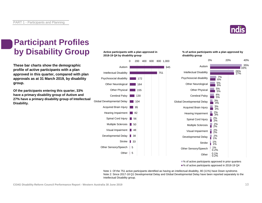

#### **Participant Profiles by Disability Group**

**These bar charts show the demographic profile of active participants with a plan approved in this quarter, compared with plan approvals as at 31 March 2019, by disability group.**

**Of the participants entering this quarter, 33% have a primary disability group of Autism and 27% have a primary disability group of Intellectual Disability.**

#### **Active participants with a plan approved in 2018-19 Q4 by disability group**



#### **% of active participants with a plan approved by disability group**



■% of active participants approved in prior quarters ■% of active participants approved in 2018-19 Q4

Note 1: Of the 751 active participants identified as having an intellectual disability, 80 (11%) have Down syndrome. Note 2: Since 2017-18 Q1 Developmental Delay and Global Developmental Delay have been reported separately to the Intellectual Disability group.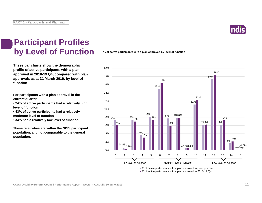

#### **Participant Profiles by Level of Function**

**These bar charts show the demographic profile of active participants with a plan approved in 2018-19 Q4, compared with plan approvals as at 31 March 2019, by level of function.**

**For participants with a plan approval in the current quarter:** 

**• 24% of active participants had a relatively high level of function**

**• 43% of active participants had a relatively moderate level of function** 

**• 34% had a relatively low level of function**

**These relativities are within the NDIS participant population, and not comparable to the general population.**

**% of active participants with a plan approved by level of function**



■% of active participants with a plan approved in 2018-19 Q4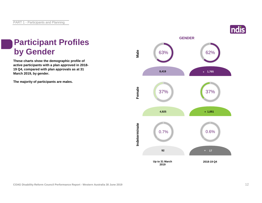### **Participant Profiles by Gender**

**These charts show the demographic profile of active participants with a plan approved in 2018- 19 Q4, compared with plan approvals as at 31 March 2019, by gender.**

**The majority of participants are males.**

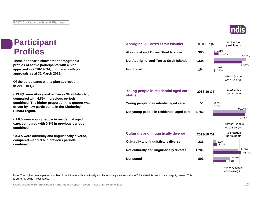#### **Participant Profiles**

**These bar charts show other demographic profiles of active participants with a plan approved in 2018-19 Q4, compared with plan approvals as at 31 March 2019.**

**Of the participants with a plan approved in 2018-19 Q4:**

**• 13.9% were Aboriginal or Torres Strait Islander, compared with 4.8% in previous periods combined. The higher proportion this quarter was driven by new participants in the Kimberley-Pilbara region.**

**• 1.8% were young people in residential aged care, compared with 0.3% in previous periods combined.**

**• 8.3% were culturally and linguistically diverse, compared with 5.3% in previous periods combined.**

| <b>Aboriginal &amp; Torres Strait Islander</b>         | 2018-19 Q4 |               | % of active<br>participants     |                |  |
|--------------------------------------------------------|------------|---------------|---------------------------------|----------------|--|
| <b>Aboriginal and Torres Strait Islander</b>           | 395        | 4.8%<br>13.9% |                                 | 93.3%          |  |
| Not Aboriginal and Torres Strait Islander              | 2,334      |               |                                 |                |  |
| <b>Not Stated</b>                                      | 104        | 1.9%<br>3.7%  |                                 | 82.4%          |  |
|                                                        |            |               | ■ Prior Quarters<br>■2018-19 Q4 |                |  |
| Young people in residential aged care<br><b>status</b> | 2018-19 Q4 |               | % of active<br>participants     |                |  |
| Young people in residential aged care                  | 51         | 0.3%<br>1.8%  |                                 |                |  |
| Not young people in residential aged care              | 2,782      |               |                                 | 99.7%<br>98.2% |  |
|                                                        |            |               | Prior Quarters<br>■2018-19 Q4   |                |  |
| <b>Culturally and linguistically diverse</b>           | 2018-19 Q4 |               | % of active<br>participants     |                |  |
| <b>Culturally and linguistically diverse</b>           | 236        | 5.3%<br>8.3%  |                                 |                |  |
| Not culturally and linguistically diverse              | 1,794      |               |                                 | 57.0%<br>63.3% |  |
| <b>Not stated</b>                                      | 803        |               | 37.7%<br>28.3%                  |                |  |
|                                                        |            |               |                                 |                |  |

Note: The higher than expected number of participants with a culturally and linguistically diverse status of 'Not stated' is due to data integrity issues. This is currently being investigated.

**COAG Disability Reform Council Performance Report - Western Australia 30 June 2019** 13



■ Prior Quarters ■2018-19 Q4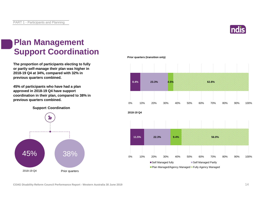

#### **Plan Management Support Coordination**

**The proportion of participants electing to fully or partly self-manage their plan was higher in 2018-19 Q4 at 34%, compared with 32% in previous quarters combined.**

**45% of participants who have had a plan approved in 2018-19 Q4 have support coordination in their plan, compared to 38% in previous quarters combined.**

**Support Coordination**



**Prior quarters (transition only)**

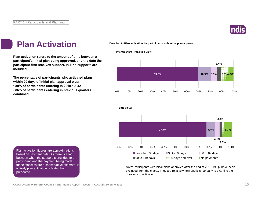

### **Plan Activation**

**Plan activation refers to the amount of time between a participant's initial plan being approved, and the date the participant first receives support. In-kind supports are included.**

**The percentage of participants who activated plans within 90 days of initial plan approval was:** 

**• 89% of participants entering in 2018-19 Q2**

**• 86% of participants entering in previous quarters combined**

**Duration to Plan activation for participants with initial plan approval**







Note: Participants with initial plans approved after the end of 2018-19 Q2 have been excluded from the charts. They are relatively new and it is too early to examine their durations to activation.

Plan activation figures are approximations based on payment data. As there is a lag between when the support is provided to a participant, and the payment being made, these statistics are a conservative estimate; it is likely plan activation is faster than presented.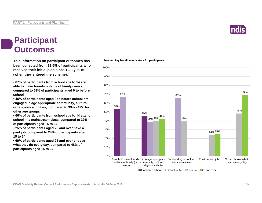

#### **Participant Outcomes**

**This information on participant outcomes has been collected from 99.6% of participants who received their initial plan since 1 July 2016 (when they entered the scheme).**

**• 67% of participants from school age to 14 are able to make friends outside of family/carers, compared to 53% of participants aged 0 to before school**

**• 45% of participants aged 0 to before school are engaged in age appropriate community, cultural or religious activities, compared to 39% - 42% for other age groups**

**• 66% of participants from school age to 14 attend school in a mainstream class, compared to 39% of participants aged 15 to 24**

**• 25% of participants aged 25 and over have a paid job, compared to 24% of participants aged 15 to 24**

**• 69% of participants aged 25 and over choose what they do every day, compared to 48% of participants aged 15 to 24**

#### **Selected key baseline indicators for participants**

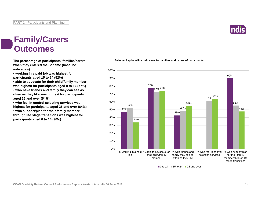#### **Family/Carers Outcomes**

**The percentage of participants' families/carers when they entered the Scheme (baseline indicators):**

**• working in a paid job was highest for participants aged 15 to 24 (52%)**

**• able to advocate for their child/family member was highest for participants aged 0 to 14 (77%)**

**• who have friends and family they can see as often as they like was highest for participants aged 25 and over (54%)**

**• who feel in control selecting services was highest for participants aged 25 and over (64%)**

**• who support/plan for their family member through life stage transitions was highest for participants aged 0 to 14 (90%)**





 $\blacksquare$ 0 to 14  $\blacksquare$  15 to 24  $\blacksquare$  25 and over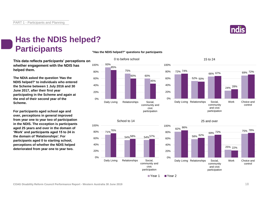

#### **Has the NDIS helped? Participants**

**This data reflects participants' perceptions on whether engagement with the NDIS has helped them.**

**The NDIA asked the question 'Has the NDIS helped?' to individuals who entered the Scheme between 1 July 2016 and 30 June 2017, after their first year participating in the Scheme and again at the end of their second year of the Scheme.**

**For participants aged school age and over, perceptions in general improved from year one to year two of participation in the NDIS. The exception is participants aged 25 years and over in the domain of 'Work' and participants aged 15 to 24 in the domain of 'Relationships'. For participants aged 0 to starting school, perceptions of whether the NDIS helped deteriorated from year one to year two.**









15 to 24



■ Year 1 ■ Year 2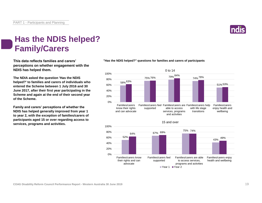

### **Has the NDIS helped? Family/Carers**

**This data reflects families and carers' perceptions on whether engagement with the NDIS has helped them.**

**The NDIA asked the question 'Has the NDIS helped?' to families and carers of individuals who entered the Scheme between 1 July 2016 and 30 June 2017, after their first year participating in the Scheme and again at the end of their second year of the Scheme.**

**Family and carers' perceptions of whether the NDIS has helped generally improved from year 1 to year 2, with the exception of families/carers of participants aged 15 or over regarding access to services, programs and activities.**



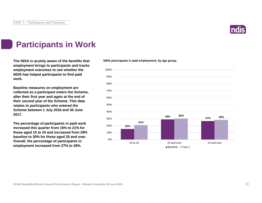

### **Participants in Work**

**The NDIA is acutely aware of the benefits that employment brings to participants and tracks employment outcomes to see whether the NDIS has helped participants to find paid work.**

**Baseline measures on employment are collected as a participant enters the Scheme, after their first year and again at the end of their second year of the Scheme. This data relates to participants who entered the Scheme between 1 July 2016 and 30 June 2017.**

**The percentage of participants in paid work increased this quarter from 15% to 21% for those aged 15 to 24 and increased from 29% baseline to 30% for those aged 25 and over. Overall, the percentage of participants in employment increased from 27% to 28%.**

**NDIS participants in paid employment, by age group.**

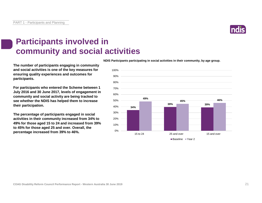

#### **Participants involved in community and social activities**

**The number of participants engaging in community and social activities is one of the key measures for ensuring quality experiences and outcomes for participants.**

**For participants who entered the Scheme between 1 July 2016 and 30 June 2017, levels of engagement in community and social activity are being tracked to see whether the NDIS has helped them to increase their participation.**

**The percentage of participants engaged in social activities in their community increased from 34% to 49% for those aged 15 to 24 and increased from 39% to 45% for those aged 25 and over. Overall, the percentage increased from 39% to 46%.**

**NDIS Participants participating in social activities in their community, by age group.**

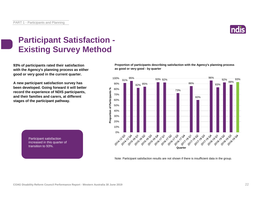

### **Participant Satisfaction - Existing Survey Method**

**93% of participants rated their satisfaction with the Agency's planning process as either good or very good in the current quarter.** 

**A new participant satisfaction survey has been developed. Going forward it will better record the experience of NDIS participants, and their families and carers, at different stages of the participant pathway.**

**Proportion of participants describing satisfaction with the Agency's planning process as good or very good - by quarter**



Participant satisfaction increased in this quarter of transition to 93%.

Note: Participant satisfaction results are not shown if there is insufficient data in the group.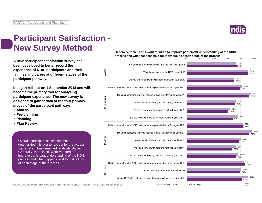

0% 20% 40% 60% 80% 100%

#### **Participant Satisfaction - New Survey Method**

**A new participant satisfaction survey has been developed to better record the experience of NDIS participants and their families and carers at different stages of the participant pathway.**

**It began roll-out on 1 September 2018 and will become the primary tool for analysing participant experience. The new survey is designed to gather data at the four primary stages of the participant pathway:**

- **Access**
- **Pre-planning**
- **Planning**
- **Plan Review**

Generally, there is still work required to improve participant understanding of the NDIS process and what happens next for individuals at each stage of the process. Overall, participant satisfaction has deteriorated this quarter except for the Access stage, which has remained relatively stable.





**COAG Disability Reform Council Performance Report - Western Australia 30 June 2019** 23

 $\blacksquare$  As at 31 March 2019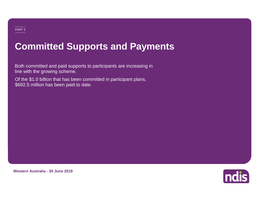### **Committed Supports and Payments**

Both committed and paid supports to participants are increasing in line with the growing scheme.

Of the \$1.0 billion that has been committed in participant plans, \$692.5 million has been paid to date.



**Western Australia - 30 June 2019**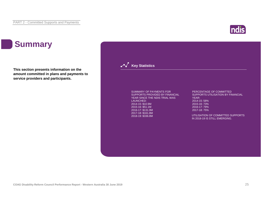#### **ndis**

### **Summary**

**This section presents information on the amount committed in plans and payments to service providers and participants.**

> SUMMARY OF PAYMENTS FOR SUPPORTS PROVIDED BY FINANCIAL YEAR SINCE THE NDIS TRIAL WAS LAUNCHED: 2014-15: \$10.9M 2015-16: \$51.1M 2016-17: \$131.9M 2017-18: \$161.8M 2018-19: \$336.8M

**Key Statistics** 

PERCENTAGE OF COMMITTED SUPPORTS UTILISATION BY FINANCIAL YEAR: 2014-15: 58% 2015-16: 73% 2016-17: 79% 2017-18: 75%

UTILISATION OF COMMITTED SUPPORTS IN 2018-19 IS STILL EMERGING.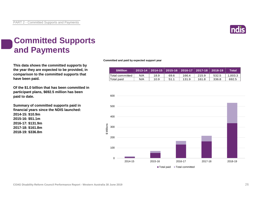

### **Committed Supports and Payments**

**This data shows the committed supports by the year they are expected to be provided, in comparison to the committed supports that have been paid.**

**Of the \$1.0 billion that has been committed in participant plans, \$692.5 million has been paid to date.**

**Summary of committed supports paid in financial years since the NDIS launched: 2014-15: \$10.9m 2015-16: \$51.1m 2016-17: \$131.9m 2017-18: \$161.8m 2018-19: \$336.8m**

**Committed and paid by expected support year**

| <b>SMillion</b>  |     |      |      |       | 2013-14   2014-15   2015-16   2016-17   2017-18   2018-19 |       | Totall  |
|------------------|-----|------|------|-------|-----------------------------------------------------------|-------|---------|
| ⊺Total committed | N/A | 18.9 | 69.6 | 166.4 | 215.9                                                     | 532.5 | 1.003.3 |
| Total paid       | N/A | 10.9 | 51.1 | 131.9 | 161.8                                                     | 336.8 | 692.5   |



**COAG Disability Reform Council Performance Report - Western Australia 30 June 2019** 26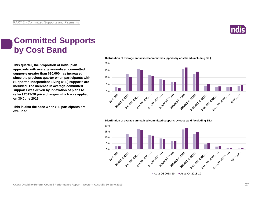

#### **Committed Supports by Cost Band**

**This quarter, the proportion of initial plan approvals with average annualised committed supports greater than \$30,000 has increased since the previous quarter when participants with Supported Independent Living (SIL) supports are included. The increase in average committed supports was driven by indexation of plans to reflect 2019-20 price changes which was applied on 30 June 2019**

**This is also the case when SIL participants are excluded.**

**Distribution of average annualised committed supports by cost band (including SIL)** 



**Distribution of average annualised committed supports by cost band (excluding SIL)** 



As at Q3 2018-19 As at Q4 2018-19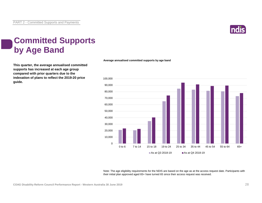

### **Committed Supports by Age Band**

**This quarter, the average annualised committed supports has increased at each age group compared with prior quarters due to the indexation of plans to reflect the 2019-20 price guide.**

#### **Average annualised committed supports by age band**



Note: The age eligibility requirements for the NDIS are based on the age as at the access request date. Participants with their initial plan approved aged 65+ have turned 65 since their access request was received.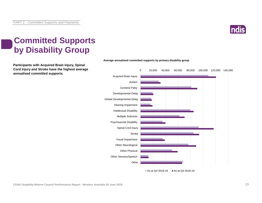

#### **Committed Supports by Disability Group**

**Participants with Acquired Brain Injury, Spinal Cord Injury and Stroke have the highest average annualised committed supports.**



As at Q3 2018-19 As at Q4 2018-19

# **Average annualised committed supports by primary disability group**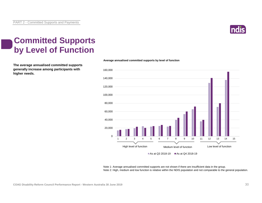

#### **Committed Supports by Level of Function**

**The average annualised committed supports generally increase among participants with higher needs.**



Note 1: Average annualised committed supports are not shown if there are insufficient data in the group. Note 2: High, medium and low function is relative within the NDIS population and not comparable to the general population.

# **Average annualised committed supports by level of function**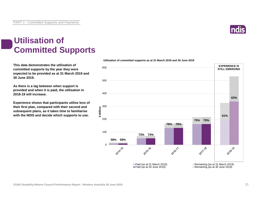

#### **Utilisation of Committed Supports**

**This data demonstrates the utilisation of committed supports by the year they were expected to be provided as at 31 March 2019 and 30 June 2019.** 

**As there is a lag between when support is provided and when it is paid, the utilisation in 2018-19 will increase.**

**Experience shows that participants utilise less of their first plan, compared with their second and subsequent plans, as it takes time to familiarise with the NDIS and decide which supports to use.** 



#### **Utilisation of committed supports as at 31 March 2019 and 30 June 2019**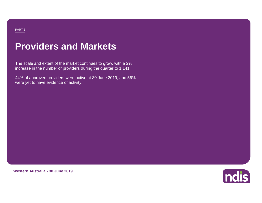#### PART 3

### **Providers and Markets**

The scale and extent of the market continues to grow, with a 2% increase in the number of providers during the quarter to 1,141.

44% of approved providers were active at 30 June 2019, and 56% were yet to have evidence of activity.



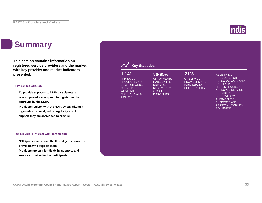

### **Summary**

**This section contains information on registered service providers and the market, with key provider and market indicators presented.**

#### **Provider registration**

- **To provide supports to NDIS participants, a service provider is required to register and be approved by the NDIA.**
- **Providers register with the NDIA by submitting a registration request, indicating the types of support they are accredited to provide.**

#### **How providers interact with participants**

- **NDIS participants have the flexibility to choose the providers who support them.**
- **Providers are paid for disability supports and services provided to the participants.**



APPR PROV OF W **ACTIV** WEST **AUST JUNE** 

| 1,141           | $80 - 95%$         | 21%            |
|-----------------|--------------------|----------------|
| APPROVED        | <b>OF PAYMENTS</b> | OF SER         |
| PROVIDERS, 44%  | <b>MADE BY THE</b> | <b>PROVID</b>  |
| OF WHICH WERE   | <b>NDIA ARE</b>    | <b>INDIVID</b> |
| ACTIVE IN       | <b>RECEIVED BY</b> | <b>SOLE T</b>  |
| WESTERN         | 25% OF             |                |
| AUSTRALIA AT 30 | <b>PROVIDERS</b>   |                |
| JUNE 2019       |                    |                |

OF SERVICE PROVIDERS ARE INDIVIDUALS/ SOLE TRADERS

#### ASSISTANCE PRODUCTS FOR PERSONAL CARE AND SAFETY HAS THE HIGHEST NUMBER OF APPROVED SERVICE PROVIDERS, FOLLOWED BY **THERAPEUTIC** SUPPORTS AND PERSONAL MOBILITY EQUIPMENT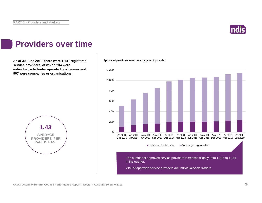

#### **Providers over time**

**As at 30 June 2019, there were 1,141 registered Approved providers over time by type of provider service providers, of which 234 were individual/sole trader operated businesses and 907 were companies or organisations.**



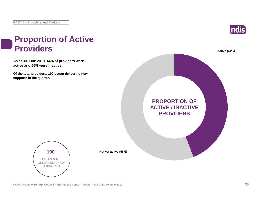

### **Proportion of Active Providers** Active (44%)

**As at 30 June 2019, 44% of providers were active and 56% were inactive.**

**Of the total providers, 190 began delivering new supports in the quarter.**



**190** PROVIDERS DELIVERING NEW SUPPORTS

**Not yet active (56%)**

**COAG Disability Reform Council Performance Report - Western Australia 30 June 2019** 35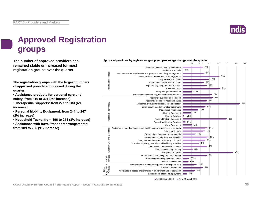

#### **Approved Registration groups**

**The number of approved providers has Approved providers by registration group and percentage change over the quarter**<br>
<sup>150</sup> **remained stable or increased for most registration groups over the quarter.**

**The registration groups with the largest numbers of approved providers increased during the quarter:**

**• Assistance products for personal care and safety: from 316 to 321 (2% increase)**

**• Therapeutic Supports: from 271 to 283 (4% increase)**

**• Personal Mobility Equipment: from 241 to 247 (2% increase)**

**• Household Tasks: from 196 to 211 (8% increase)**

**• Assistance with travel/transport arrangements: from 189 to 206 (9% increase)**



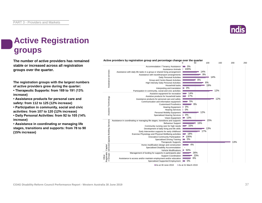

### **Active Registration groups**

**The number of active providers has remained stable or increased across all registration groups over the quarter.**

**The registration groups with the largest numbers of active providers grew during the quarter:**

- **Therapeutic Supports: from 169 to 191 (13% increase)**
- **Assistance products for personal care and safety: from 112 to 125 (12% increase)**
- **Participation in community, social and civic activities: from 107 to 120 (12% increase)**
- **Daily Personal Activities: from 92 to 105 (14% increase)**
- **Assistance in coordinating or managing life stages, transitions and supports: from 78 to 90 (15% increase)**

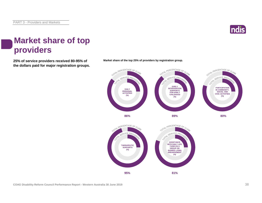

### **Market share of top providers**

**25% of service providers received 80-95% of Market share of the top 25% of providers by registration group. the dollars paid for major registration groups.**



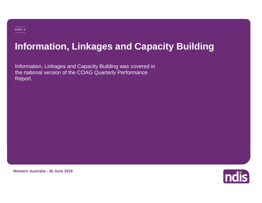### **Information, Linkages and Capacity Building**

Information, Linkages and Capacity Building was covered in the national version of the COAG Quarterly Performance Report.

**Western Australia - 30 June 2019**

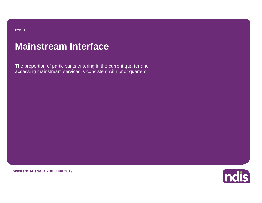### **Mainstream Interface**

The proportion of participants entering in the current quarter and accessing mainstream services is consistent with prior quarters.

**Western Australia - 30 June 2019**

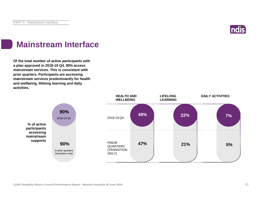

### **Mainstream Interface**

**Of the total number of active participants with a plan approved in 2018-19 Q4, 90% access mainstream services. This is consistent with prior quarters. Participants are accessing mainstream services predominantly for health and wellbeing, lifelong learning and daily activities.**